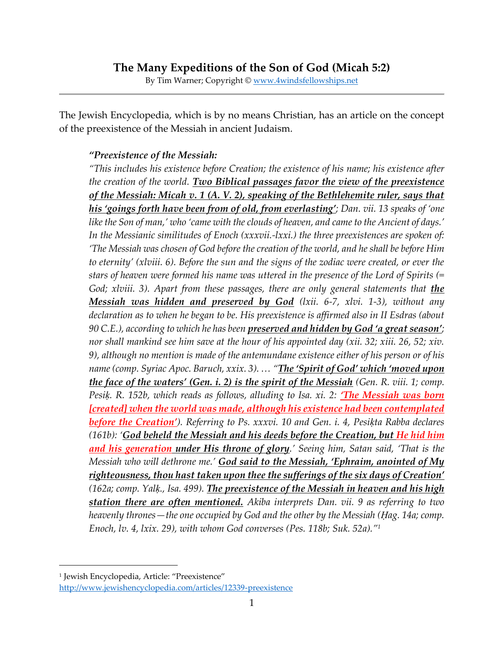By Tim Warner; Copyright © [www.4windsfellowships.net](http://www.4windsfellowships.net/)

The Jewish Encyclopedia, which is by no means Christian, has an article on the concept of the preexistence of the Messiah in ancient Judaism.

## *"Preexistence of the Messiah:*

*"This includes his existence before Creation; the existence of his name; his existence after the creation of the world. Two Biblical passages favor the view of the preexistence of the Messiah: Micah v. 1 (A. V. 2), speaking of the Bethlehemite ruler, says that his 'goings forth have been from of old, from everlasting'; Dan. vii. 13 speaks of 'one like the Son of man,' who 'came with the clouds of heaven, and came to the Ancient of days.' In the Messianic similitudes of Enoch (xxxvii.-lxxi.) the three preexistences are spoken of: 'The Messiah was chosen of God before the creation of the world, and he shall be before Him to eternity' (xlviii. 6). Before the sun and the signs of the zodiac were created, or ever the stars of heaven were formed his name was uttered in the presence of the Lord of Spirits (= God; xlviii.* 3). Apart from these passages, there are only general statements that *the Messiah was hidden and preserved by God (lxii. 6-7, xlvi. 1-3), without any declaration as to when he began to be. His preexistence is affirmed also in II Esdras (about 90 C.E.), according to which he has been preserved and hidden by God 'a great season'; nor shall mankind see him save at the hour of his appointed day (xii. 32; xiii. 26, 52; xiv. 9), although no mention is made of the antemundane existence either of his person or of his name (comp. Syriac Apoc. Baruch, xxix. 3). … "The 'Spirit of God' which 'moved upon the face of the waters' (Gen. i. 2) is the spirit of the Messiah (Gen. R. viii. 1; comp. Pesik. R. 152b, which reads as follows, alluding to Isa. xi. 2: <i>The Messiah was born [created] when the world was made, although his existence had been contemplated before the Creation'). Referring to Ps. xxxvi. 10 and Gen. i. 4, Pesiḳta Rabba declares (161b): 'God beheld the Messiah and his deeds before the Creation, but He hid him and his generation under His throne of glory.' Seeing him, Satan said, 'That is the Messiah who will dethrone me.' God said to the Messiah, 'Ephraim, anointed of My righteousness, thou hast taken upon thee the sufferings of the six days of Creation' (162a; comp. Yalḳ., Isa. 499). The preexistence of the Messiah in heaven and his high station there are often mentioned. Akiba interprets Dan. vii. 9 as referring to two heavenly thrones—the one occupied by God and the other by the Messiah (Ḥag. 14a; comp. Enoch, lv. 4, lxix. 29), with whom God converses (Pes. 118b; Suk. 52a)."<sup>1</sup>*

<sup>1</sup> Jewish Encyclopedia, Article: "Preexistence" <http://www.jewishencyclopedia.com/articles/12339-preexistence>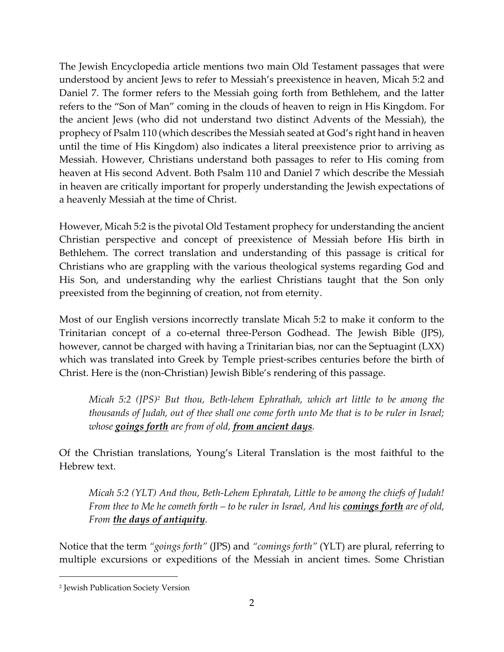The Jewish Encyclopedia article mentions two main Old Testament passages that were understood by ancient Jews to refer to Messiah's preexistence in heaven, Micah 5:2 and Daniel 7. The former refers to the Messiah going forth from Bethlehem, and the latter refers to the "Son of Man" coming in the clouds of heaven to reign in His Kingdom. For the ancient Jews (who did not understand two distinct Advents of the Messiah), the prophecy of Psalm 110 (which describes the Messiah seated at God's right hand in heaven until the time of His Kingdom) also indicates a literal preexistence prior to arriving as Messiah. However, Christians understand both passages to refer to His coming from heaven at His second Advent. Both Psalm 110 and Daniel 7 which describe the Messiah in heaven are critically important for properly understanding the Jewish expectations of a heavenly Messiah at the time of Christ.

However, Micah 5:2 is the pivotal Old Testament prophecy for understanding the ancient Christian perspective and concept of preexistence of Messiah before His birth in Bethlehem. The correct translation and understanding of this passage is critical for Christians who are grappling with the various theological systems regarding God and His Son, and understanding why the earliest Christians taught that the Son only preexisted from the beginning of creation, not from eternity.

Most of our English versions incorrectly translate Micah 5:2 to make it conform to the Trinitarian concept of a co-eternal three-Person Godhead. The Jewish Bible (JPS), however, cannot be charged with having a Trinitarian bias, nor can the Septuagint (LXX) which was translated into Greek by Temple priest-scribes centuries before the birth of Christ. Here is the (non-Christian) Jewish Bible's rendering of this passage.

*Micah 5:2 (JPS)<sup>2</sup> But thou, Beth-lehem Ephrathah, which art little to be among the thousands of Judah, out of thee shall one come forth unto Me that is to be ruler in Israel; whose goings forth are from of old, from ancient days.*

Of the Christian translations, Young's Literal Translation is the most faithful to the Hebrew text.

*Micah 5:2 (YLT) And thou, Beth-Lehem Ephratah, Little to be among the chiefs of Judah! From thee to Me he cometh forth – to be ruler in Israel, And his comings forth are of old, From the days of antiquity.*

Notice that the term *"goings forth"* (JPS) and *"comings forth"* (YLT) are plural, referring to multiple excursions or expeditions of the Messiah in ancient times. Some Christian

<sup>2</sup> Jewish Publication Society Version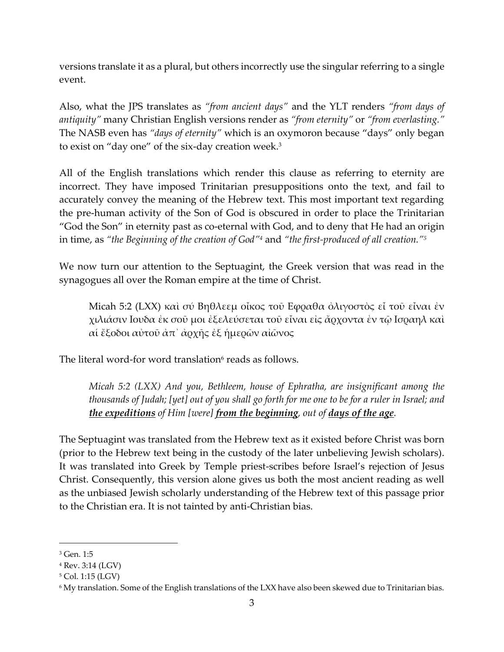versions translate it as a plural, but others incorrectly use the singular referring to a single event.

Also, what the JPS translates as *"from ancient days"* and the YLT renders *"from days of antiquity"* many Christian English versions render as *"from eternity"* or *"from everlasting."* The NASB even has *"days of eternity"* which is an oxymoron because "days" only began to exist on "day one" of the six-day creation week.<sup>3</sup>

All of the English translations which render this clause as referring to eternity are incorrect. They have imposed Trinitarian presuppositions onto the text, and fail to accurately convey the meaning of the Hebrew text. This most important text regarding the pre-human activity of the Son of God is obscured in order to place the Trinitarian "God the Son" in eternity past as co-eternal with God, and to deny that He had an origin in time, as *"the Beginning of the creation of God"<sup>4</sup>* and *"the first-produced of all creation."<sup>5</sup>*

We now turn our attention to the Septuagint, the Greek version that was read in the synagogues all over the Roman empire at the time of Christ.

Micah 5:2 (LXX) καὶ σύ Βηθλεεμ οἶκος τοῦ Εφραθα ὀλιγοστὸς εἶ τοῦ εἶναι ἐν χιλιάσιν Ιουδα ἐκ σοῦ μοι ἐξελεύσεται τοῦ εἶναι εἰς ἄρχοντα ἐν τῷ Ισραηλ καὶ αἱ ἔξοδοι αὐτοῦ ἀπ᾽ ἀρχῆς ἐξ ἡμερῶν αἰῶνος

The literal word-for word translation $6$  reads as follows.

*Micah 5:2 (LXX) And you, Bethleem, house of Ephratha, are insignificant among the thousands of Judah; [yet] out of you shall go forth for me one to be for a ruler in Israel; and the expeditions of Him [were] from the beginning, out of days of the age.*

The Septuagint was translated from the Hebrew text as it existed before Christ was born (prior to the Hebrew text being in the custody of the later unbelieving Jewish scholars). It was translated into Greek by Temple priest-scribes before Israel's rejection of Jesus Christ. Consequently, this version alone gives us both the most ancient reading as well as the unbiased Jewish scholarly understanding of the Hebrew text of this passage prior to the Christian era. It is not tainted by anti-Christian bias.

<sup>3</sup> Gen. 1:5

<sup>4</sup> Rev. 3:14 (LGV)

<sup>5</sup> Col. 1:15 (LGV)

<sup>6</sup> My translation. Some of the English translations of the LXX have also been skewed due to Trinitarian bias.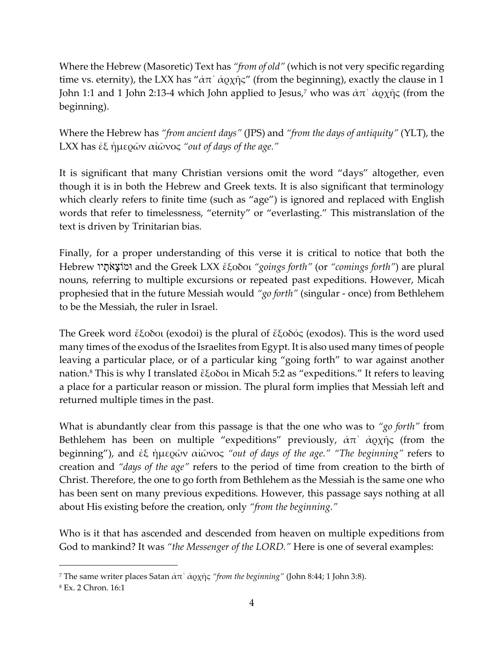Where the Hebrew (Masoretic) Text has *"from of old"* (which is not very specific regarding time vs. eternity), the LXX has " $\alpha \pi$ '  $\alpha$   $\beta \gamma$ " (from the beginning), exactly the clause in 1 John 1:1 and 1 John 2:13-4 which John applied to Jesus,<sup>7</sup> who was  $\dot{\alpha} \pi^{\gamma} \dot{\alpha}$ οχῆς (from the beginning).

Where the Hebrew has *"from ancient days"* (JPS) and *"from the days of antiquity"* (YLT), the LXX has ἐξ ἡμερῶν αἰῶνος *"out of days of the age."*

It is significant that many Christian versions omit the word "days" altogether, even though it is in both the Hebrew and Greek texts. It is also significant that terminology which clearly refers to finite time (such as "age") is ignored and replaced with English words that refer to timelessness, "eternity" or "everlasting." This mistranslation of the text is driven by Trinitarian bias.

Finally, for a proper understanding of this verse it is critical to notice that both the Hebrew יו ָת ֹא ָוצֹומּ and the Greek LXX ἔξοδοι *"goings forth"* (or *"comings forth"*) are plural nouns, referring to multiple excursions or repeated past expeditions. However, Micah prophesied that in the future Messiah would *"go forth"* (singular - once) from Bethlehem to be the Messiah, the ruler in Israel.

The Greek word ἔξοδοι (exodoi) is the plural of ἔξοδός (exodos). This is the word used many times of the exodus of the Israelites from Egypt. It is also used many times of people leaving a particular place, or of a particular king "going forth" to war against another nation.<sup>8</sup> This is why I translated ἔξοδοι in Micah 5:2 as "expeditions." It refers to leaving a place for a particular reason or mission. The plural form implies that Messiah left and returned multiple times in the past.

What is abundantly clear from this passage is that the one who was to *"go forth"* from Bethlehem has been on multiple "expeditions" previously,  $\dot{\alpha}\pi$   $\dot{\alpha}$   $\dot{\alpha}$   $\gamma$   $\ddot{\gamma}$  (from the beginning"), and ἐξ ἡμερῶν αἰῶνος *"out of days of the age." "The beginning"* refers to creation and *"days of the age"* refers to the period of time from creation to the birth of Christ. Therefore, the one to go forth from Bethlehem as the Messiah is the same one who has been sent on many previous expeditions. However, this passage says nothing at all about His existing before the creation, only *"from the beginning."*

Who is it that has ascended and descended from heaven on multiple expeditions from God to mankind? It was *"the Messenger of the LORD."* Here is one of several examples:

<sup>7</sup> The same writer places Satan ἀπ᾽ ἀρχῆς *"from the beginning"* (John 8:44; 1 John 3:8).

<sup>8</sup> Ex. 2 Chron. 16:1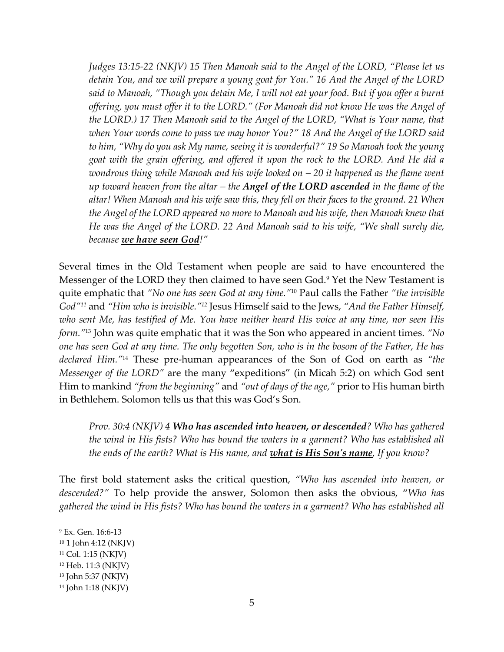*Judges 13:15-22 (NKJV) 15 Then Manoah said to the Angel of the LORD, "Please let us detain You, and we will prepare a young goat for You." 16 And the Angel of the LORD said to Manoah, "Though you detain Me, I will not eat your food. But if you offer a burnt offering, you must offer it to the LORD." (For Manoah did not know He was the Angel of the LORD.) 17 Then Manoah said to the Angel of the LORD, "What is Your name, that when Your words come to pass we may honor You?" 18 And the Angel of the LORD said to him, "Why do you ask My name, seeing it is wonderful?" 19 So Manoah took the young goat with the grain offering, and offered it upon the rock to the LORD. And He did a wondrous thing while Manoah and his wife looked on – 20 it happened as the flame went up toward heaven from the altar – the Angel of the LORD ascended in the flame of the altar! When Manoah and his wife saw this, they fell on their faces to the ground. 21 When the Angel of the LORD appeared no more to Manoah and his wife, then Manoah knew that He was the Angel of the LORD. 22 And Manoah said to his wife, "We shall surely die, because we have seen God!"*

Several times in the Old Testament when people are said to have encountered the Messenger of the LORD they then claimed to have seen God.<sup>9</sup> Yet the New Testament is quite emphatic that *"No one has seen God at any time."*<sup>10</sup> Paul calls the Father *"the invisible God"<sup>11</sup>* and *"Him who is invisible." <sup>12</sup>* Jesus Himself said to the Jews, *"And the Father Himself, who sent Me, has testified of Me. You have neither heard His voice at any time, nor seen His form."*<sup>13</sup> John was quite emphatic that it was the Son who appeared in ancient times. *"No one has seen God at any time. The only begotten Son, who is in the bosom of the Father, He has declared Him."*<sup>14</sup> These pre-human appearances of the Son of God on earth as *"the Messenger of the LORD"* are the many "expeditions" (in Micah 5:2) on which God sent Him to mankind *"from the beginning"* and *"out of days of the age,"* prior to His human birth in Bethlehem. Solomon tells us that this was God's Son.

*Prov. 30:4 (NKJV) 4 Who has ascended into heaven, or descended? Who has gathered the wind in His fists? Who has bound the waters in a garment? Who has established all the ends of the earth? What is His name, and what is His Son's name, If you know?*

The first bold statement asks the critical question, *"Who has ascended into heaven, or descended?"* To help provide the answer, Solomon then asks the obvious, "*Who has gathered the wind in His fists? Who has bound the waters in a garment? Who has established all* 

<sup>9</sup> Ex. Gen. 16:6-13

<sup>10</sup> 1 John 4:12 (NKJV)

<sup>11</sup> Col. 1:15 (NKJV)

<sup>12</sup> Heb. 11:3 (NKJV)

<sup>13</sup> John 5:37 (NKJV)

<sup>14</sup> John 1:18 (NKJV)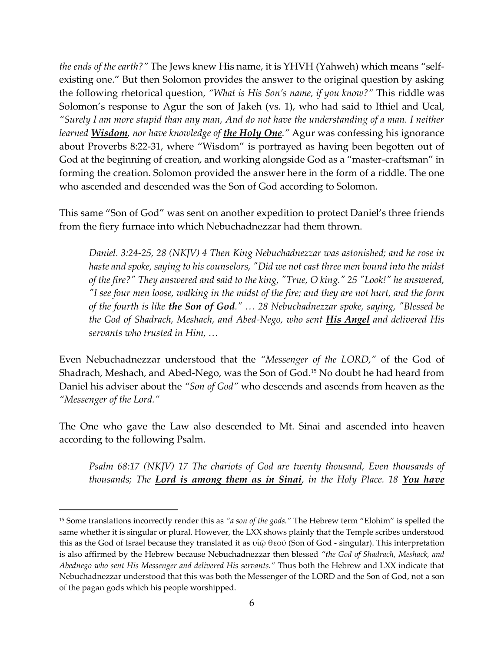*the ends of the earth?"* The Jews knew His name, it is YHVH (Yahweh) which means "selfexisting one." But then Solomon provides the answer to the original question by asking the following rhetorical question, *"What is His Son's name, if you know?"* This riddle was Solomon's response to Agur the son of Jakeh (vs. 1), who had said to Ithiel and Ucal, *"Surely I am more stupid than any man, And do not have the understanding of a man. I neither learned Wisdom, nor have knowledge of the Holy One."* Agur was confessing his ignorance about Proverbs 8:22-31, where "Wisdom" is portrayed as having been begotten out of God at the beginning of creation, and working alongside God as a "master-craftsman" in forming the creation. Solomon provided the answer here in the form of a riddle. The one who ascended and descended was the Son of God according to Solomon.

This same "Son of God" was sent on another expedition to protect Daniel's three friends from the fiery furnace into which Nebuchadnezzar had them thrown.

*Daniel. 3:24-25, 28 (NKJV) 4 Then King Nebuchadnezzar was astonished; and he rose in haste and spoke, saying to his counselors, "Did we not cast three men bound into the midst of the fire?" They answered and said to the king, "True, O king." 25 "Look!" he answered, "I see four men loose, walking in the midst of the fire; and they are not hurt, and the form of the fourth is like the Son of God." … 28 Nebuchadnezzar spoke, saying, "Blessed be the God of Shadrach, Meshach, and Abed-Nego, who sent His Angel and delivered His servants who trusted in Him, …*

Even Nebuchadnezzar understood that the *"Messenger of the LORD,"* of the God of Shadrach, Meshach, and Abed-Nego, was the Son of God.<sup>15</sup> No doubt he had heard from Daniel his adviser about the *"Son of God"* who descends and ascends from heaven as the *"Messenger of the Lord."*

The One who gave the Law also descended to Mt. Sinai and ascended into heaven according to the following Psalm.

*Psalm 68:17 (NKJV) 17 The chariots of God are twenty thousand, Even thousands of thousands; The Lord is among them as in Sinai, in the Holy Place. 18 You have* 

<sup>15</sup> Some translations incorrectly render this as *"a son of the gods."* The Hebrew term "Elohim" is spelled the same whether it is singular or plural. However, the LXX shows plainly that the Temple scribes understood this as the God of Israel because they translated it as υἱῷ θεοῦ (Son of God - singular). This interpretation is also affirmed by the Hebrew because Nebuchadnezzar then blessed *"the God of Shadrach, Meshack, and Abednego who sent His Messenger and delivered His servants."* Thus both the Hebrew and LXX indicate that Nebuchadnezzar understood that this was both the Messenger of the LORD and the Son of God, not a son of the pagan gods which his people worshipped.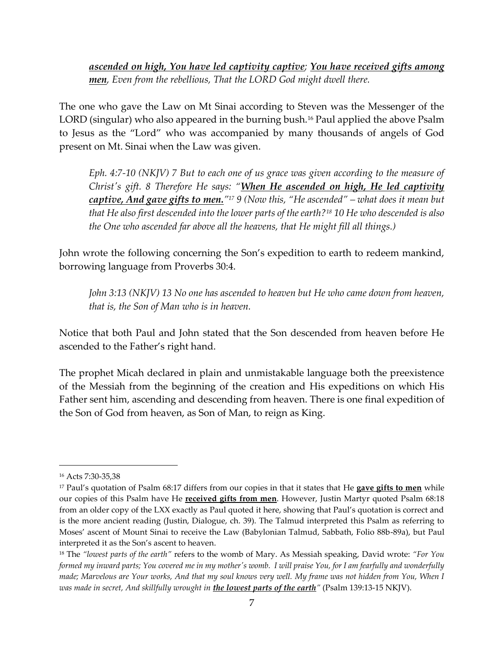*ascended on high, You have led captivity captive; You have received gifts among men, Even from the rebellious, That the LORD God might dwell there.*

The one who gave the Law on Mt Sinai according to Steven was the Messenger of the LORD (singular) who also appeared in the burning bush.<sup>16</sup> Paul applied the above Psalm to Jesus as the "Lord" who was accompanied by many thousands of angels of God present on Mt. Sinai when the Law was given.

*Eph. 4:7-10 (NKJV) 7 But to each one of us grace was given according to the measure of Christ's gift. 8 Therefore He says: "When He ascended on high, He led captivity captive, And gave gifts to men." <sup>17</sup> 9 (Now this, "He ascended" – what does it mean but that He also first descended into the lower parts of the earth?<sup>18</sup> 10 He who descended is also the One who ascended far above all the heavens, that He might fill all things.)*

John wrote the following concerning the Son's expedition to earth to redeem mankind, borrowing language from Proverbs 30:4.

*John 3:13 (NKJV) 13 No one has ascended to heaven but He who came down from heaven, that is, the Son of Man who is in heaven.*

Notice that both Paul and John stated that the Son descended from heaven before He ascended to the Father's right hand.

The prophet Micah declared in plain and unmistakable language both the preexistence of the Messiah from the beginning of the creation and His expeditions on which His Father sent him, ascending and descending from heaven. There is one final expedition of the Son of God from heaven, as Son of Man, to reign as King.

<sup>16</sup> Acts 7:30-35,38

<sup>17</sup> Paul's quotation of Psalm 68:17 differs from our copies in that it states that He **gave gifts to men** while our copies of this Psalm have He **received gifts from men**. However, Justin Martyr quoted Psalm 68:18 from an older copy of the LXX exactly as Paul quoted it here, showing that Paul's quotation is correct and is the more ancient reading (Justin, Dialogue, ch. 39). The Talmud interpreted this Psalm as referring to Moses' ascent of Mount Sinai to receive the Law (Babylonian Talmud, Sabbath, Folio 88b-89a), but Paul interpreted it as the Son's ascent to heaven.

<sup>18</sup> The *"lowest parts of the earth"* refers to the womb of Mary. As Messiah speaking, David wrote: *"For You formed my inward parts; You covered me in my mother's womb. I will praise You, for I am fearfully and wonderfully made; Marvelous are Your works, And that my soul knows very well. My frame was not hidden from You, When I was made in secret, And skillfully wrought in the lowest parts of the earth"* (Psalm 139:13-15 NKJV).